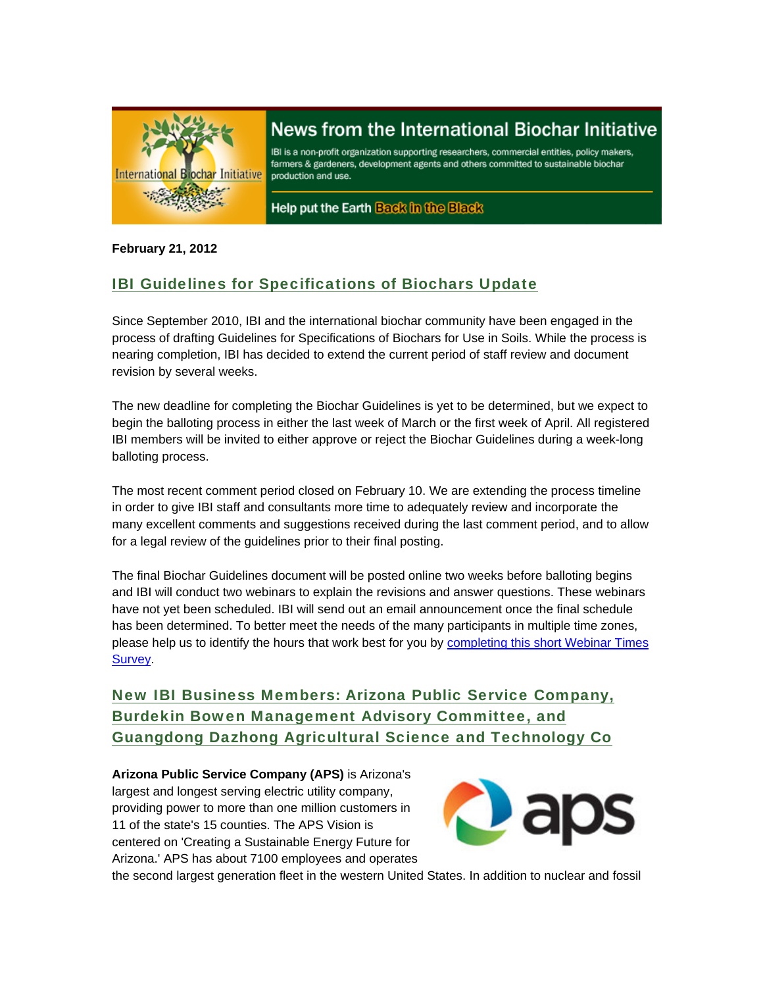

# News from the International Biochar Initiative

IBI is a non-profit organization supporting researchers, commercial entities, policy makers, farmers & gardeners, development agents and others committed to sustainable biochar production and use.

Help put the Earth Back in the Black

#### **February 21, 2012**

## IBI Guidelines for Specifications of Biochars Update

Since September 2010, IBI and the international biochar community have been engaged in the process of drafting Guidelines for Specifications of Biochars for Use in Soils. While the process is nearing completion, IBI has decided to extend the current period of staff review and document revision by several weeks.

The new deadline for completing the Biochar Guidelines is yet to be determined, but we expect to begin the balloting process in either the last week of March or the first week of April. All registered IBI members will be invited to either approve or reject the Biochar Guidelines during a week-long balloting process.

The most recent comment period closed on February 10. We are extending the process timeline in order to give IBI staff and consultants more time to adequately review and incorporate the many excellent comments and suggestions received during the last comment period, and to allow for a legal review of the guidelines prior to their final posting.

The final Biochar Guidelines document will be posted online two weeks before balloting begins and IBI will conduct two webinars to explain the revisions and answer questions. These webinars have not yet been scheduled. IBI will send out an email announcement once the final schedule has been determined. To better meet the needs of the many participants in multiple time zones, please help us to identify the hours that work best for you by completing this short Webinar Times **Survey** 

New IBI Business Members: Arizona Public Service Company, Burdekin Bowen Management Advisory Committee, and Guangdong Dazhong Agricultural Science and Technology Co

**Arizona Public Service Company (APS)** is Arizona's largest and longest serving electric utility company, providing power to more than one million customers in 11 of the state's 15 counties. The APS Vision is centered on 'Creating a Sustainable Energy Future for Arizona.' APS has about 7100 employees and operates



the second largest generation fleet in the western United States. In addition to nuclear and fossil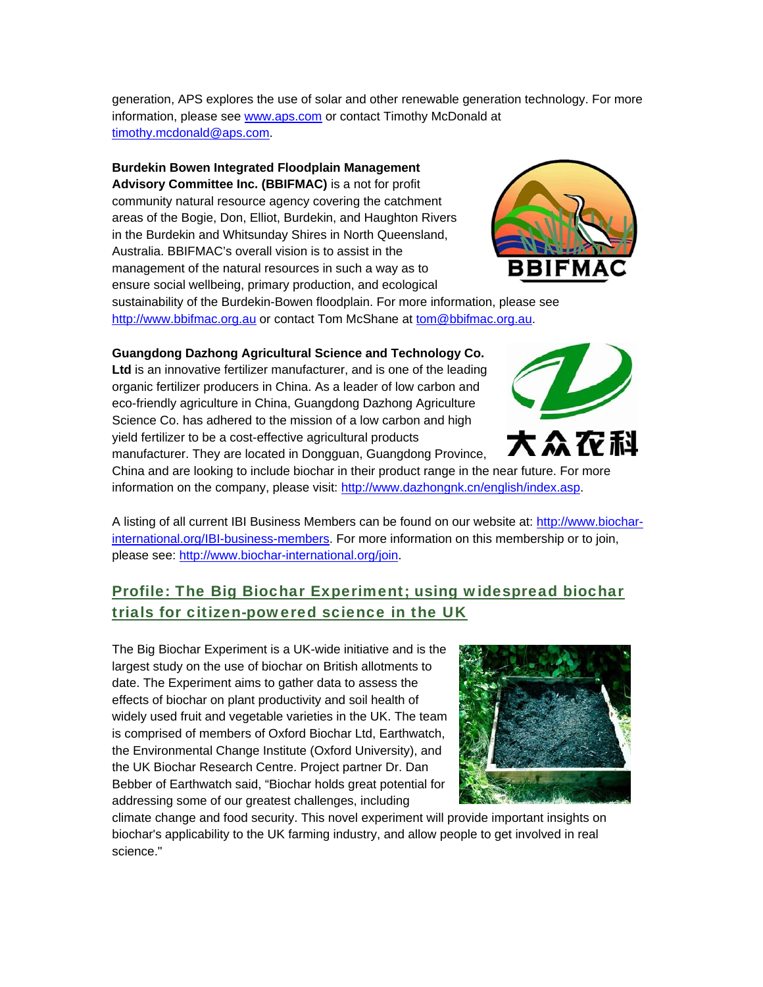generation, APS explores the use of solar and other renewable generation technology. For more information, please see www.aps.com or contact Timothy McDonald at timothy.mcdonald@aps.com.

**Burdekin Bowen Integrated Floodplain Management** 

**Advisory Committee Inc. (BBIFMAC)** is a not for profit community natural resource agency covering the catchment areas of the Bogie, Don, Elliot, Burdekin, and Haughton Rivers in the Burdekin and Whitsunday Shires in North Queensland, Australia. BBIFMAC's overall vision is to assist in the management of the natural resources in such a way as to ensure social wellbeing, primary production, and ecological



sustainability of the Burdekin-Bowen floodplain. For more information, please see http://www.bbifmac.org.au or contact Tom McShane at tom@bbifmac.org.au.

**Guangdong Dazhong Agricultural Science and Technology Co. Ltd** is an innovative fertilizer manufacturer, and is one of the leading organic fertilizer producers in China. As a leader of low carbon and eco-friendly agriculture in China, Guangdong Dazhong Agriculture Science Co. has adhered to the mission of a low carbon and high yield fertilizer to be a cost-effective agricultural products manufacturer. They are located in Dongguan, Guangdong Province,



China and are looking to include biochar in their product range in the near future. For more information on the company, please visit: http://www.dazhongnk.cn/english/index.asp.

A listing of all current IBI Business Members can be found on our website at: http://www.biocharinternational.org/IBI-business-members. For more information on this membership or to join, please see: http://www.biochar-international.org/join.

## Profile: The Big Biochar Experiment; using widespread biochar trials for citizen-powered science in the UK

The Big Biochar Experiment is a UK-wide initiative and is the largest study on the use of biochar on British allotments to date. The Experiment aims to gather data to assess the effects of biochar on plant productivity and soil health of widely used fruit and vegetable varieties in the UK. The team is comprised of members of Oxford Biochar Ltd, Earthwatch, the Environmental Change Institute (Oxford University), and the UK Biochar Research Centre. Project partner Dr. Dan Bebber of Earthwatch said, "Biochar holds great potential for addressing some of our greatest challenges, including



climate change and food security. This novel experiment will provide important insights on biochar's applicability to the UK farming industry, and allow people to get involved in real science."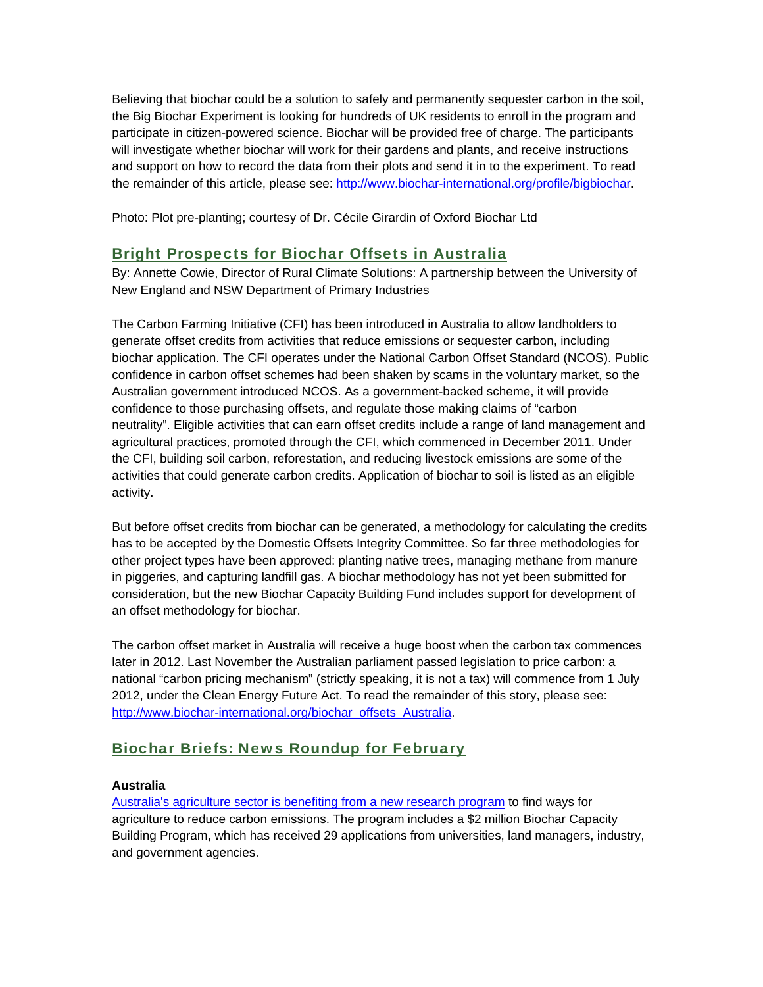Believing that biochar could be a solution to safely and permanently sequester carbon in the soil, the Big Biochar Experiment is looking for hundreds of UK residents to enroll in the program and participate in citizen-powered science. Biochar will be provided free of charge. The participants will investigate whether biochar will work for their gardens and plants, and receive instructions and support on how to record the data from their plots and send it in to the experiment. To read the remainder of this article, please see: http://www.biochar-international.org/profile/bigbiochar.

Photo: Plot pre-planting; courtesy of Dr. Cécile Girardin of Oxford Biochar Ltd

### Bright Prospects for Biochar Offsets in Australia

By: Annette Cowie, Director of Rural Climate Solutions: A partnership between the University of New England and NSW Department of Primary Industries

The Carbon Farming Initiative (CFI) has been introduced in Australia to allow landholders to generate offset credits from activities that reduce emissions or sequester carbon, including biochar application. The CFI operates under the National Carbon Offset Standard (NCOS). Public confidence in carbon offset schemes had been shaken by scams in the voluntary market, so the Australian government introduced NCOS. As a government-backed scheme, it will provide confidence to those purchasing offsets, and regulate those making claims of "carbon neutrality". Eligible activities that can earn offset credits include a range of land management and agricultural practices, promoted through the CFI, which commenced in December 2011. Under the CFI, building soil carbon, reforestation, and reducing livestock emissions are some of the activities that could generate carbon credits. Application of biochar to soil is listed as an eligible activity.

But before offset credits from biochar can be generated, a methodology for calculating the credits has to be accepted by the Domestic Offsets Integrity Committee. So far three methodologies for other project types have been approved: planting native trees, managing methane from manure in piggeries, and capturing landfill gas. A biochar methodology has not yet been submitted for consideration, but the new Biochar Capacity Building Fund includes support for development of an offset methodology for biochar.

The carbon offset market in Australia will receive a huge boost when the carbon tax commences later in 2012. Last November the Australian parliament passed legislation to price carbon: a national "carbon pricing mechanism" (strictly speaking, it is not a tax) will commence from 1 July 2012, under the Clean Energy Future Act. To read the remainder of this story, please see: http://www.biochar-international.org/biochar\_offsets\_Australia.

### Biochar Briefs: News Roundup for February

#### **Australia**

Australia's agriculture sector is benefiting from a new research program to find ways for agriculture to reduce carbon emissions. The program includes a \$2 million Biochar Capacity Building Program, which has received 29 applications from universities, land managers, industry, and government agencies.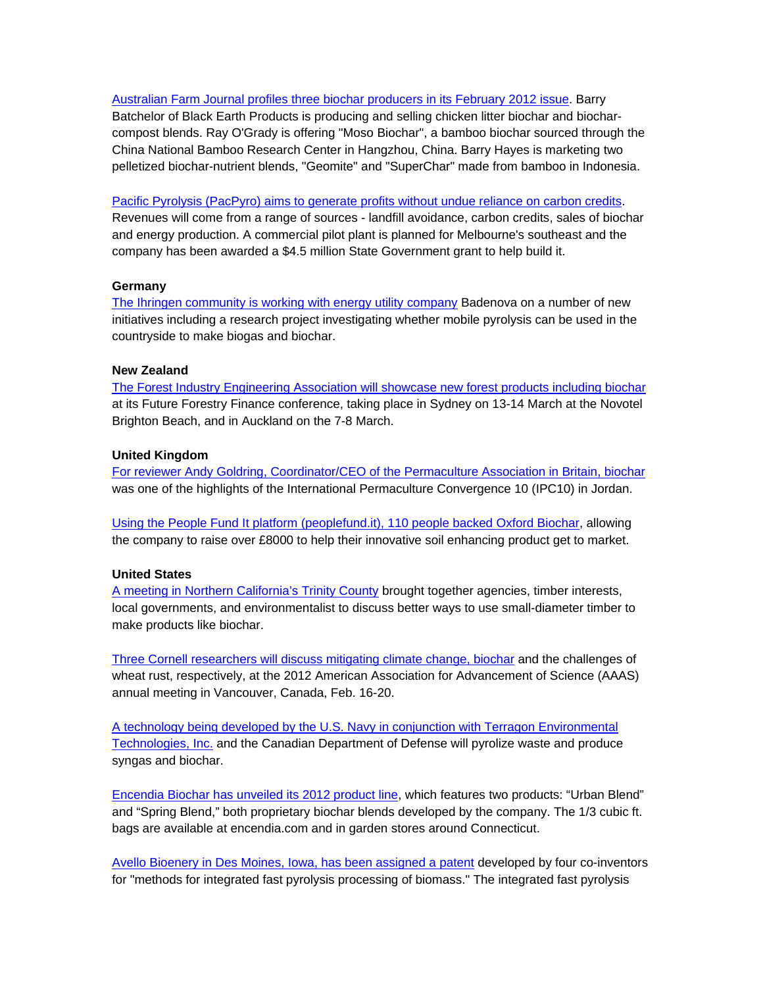Australian Farm Journal profiles three biochar producers in its February 2012 issue. Barry Batchelor of Black Earth Products is producing and selling chicken litter biochar and biocharcompost blends. Ray O'Grady is offering "Moso Biochar", a bamboo biochar sourced through the China National Bamboo Research Center in Hangzhou, China. Barry Hayes is marketing two pelletized biochar-nutrient blends, "Geomite" and "SuperChar" made from bamboo in Indonesia.

Pacific Pyrolysis (PacPyro) aims to generate profits without undue reliance on carbon credits. Revenues will come from a range of sources - landfill avoidance, carbon credits, sales of biochar and energy production. A commercial pilot plant is planned for Melbourne's southeast and the company has been awarded a \$4.5 million State Government grant to help build it.

#### **Germany**

The Ihringen community is working with energy utility company Badenova on a number of new initiatives including a research project investigating whether mobile pyrolysis can be used in the countryside to make biogas and biochar.

#### **New Zealand**

The Forest Industry Engineering Association will showcase new forest products including biochar at its Future Forestry Finance conference, taking place in Sydney on 13-14 March at the Novotel Brighton Beach, and in Auckland on the 7-8 March.

#### **United Kingdom**

For reviewer Andy Goldring, Coordinator/CEO of the Permaculture Association in Britain, biochar was one of the highlights of the International Permaculture Convergence 10 (IPC10) in Jordan.

Using the People Fund It platform (peoplefund.it), 110 people backed Oxford Biochar, allowing the company to raise over £8000 to help their innovative soil enhancing product get to market.

#### **United States**

A meeting in Northern California's Trinity County brought together agencies, timber interests, local governments, and environmentalist to discuss better ways to use small-diameter timber to make products like biochar.

Three Cornell researchers will discuss mitigating climate change, biochar and the challenges of wheat rust, respectively, at the 2012 American Association for Advancement of Science (AAAS) annual meeting in Vancouver, Canada, Feb. 16-20.

A technology being developed by the U.S. Navy in conjunction with Terragon Environmental Technologies, Inc. and the Canadian Department of Defense will pyrolize waste and produce syngas and biochar.

Encendia Biochar has unveiled its 2012 product line, which features two products: "Urban Blend" and "Spring Blend," both proprietary biochar blends developed by the company. The 1/3 cubic ft. bags are available at encendia.com and in garden stores around Connecticut.

Avello Bioenery in Des Moines, Iowa, has been assigned a patent developed by four co-inventors for "methods for integrated fast pyrolysis processing of biomass." The integrated fast pyrolysis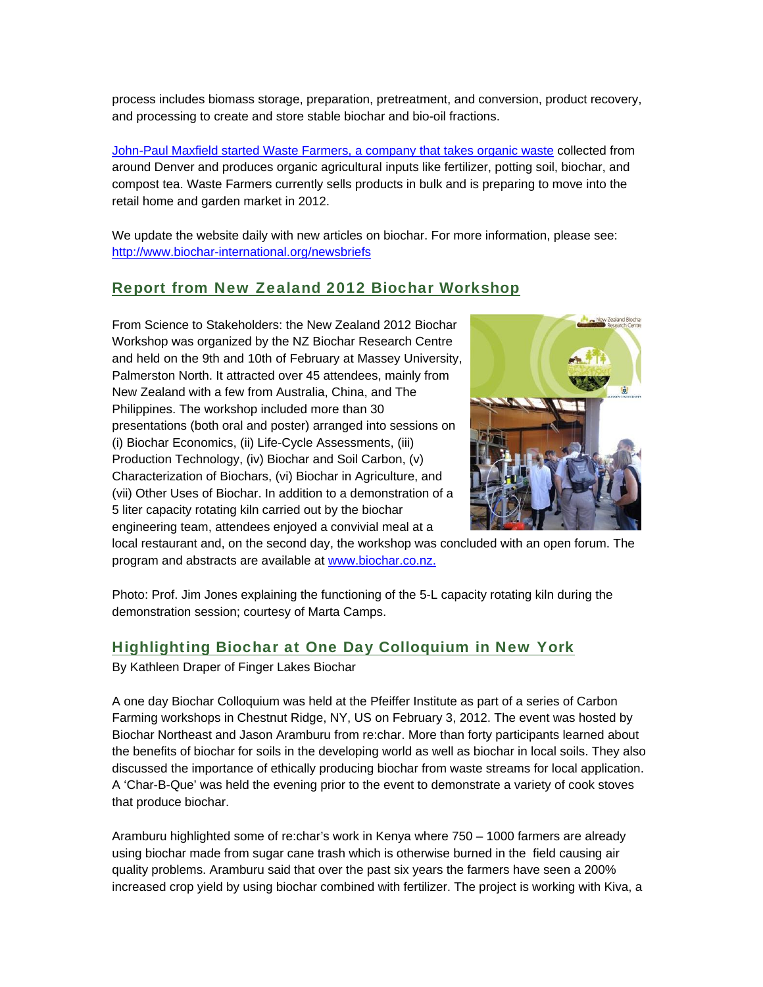process includes biomass storage, preparation, pretreatment, and conversion, product recovery, and processing to create and store stable biochar and bio-oil fractions.

John-Paul Maxfield started Waste Farmers, a company that takes organic waste collected from around Denver and produces organic agricultural inputs like fertilizer, potting soil, biochar, and compost tea. Waste Farmers currently sells products in bulk and is preparing to move into the retail home and garden market in 2012.

We update the website daily with new articles on biochar. For more information, please see: http://www.biochar-international.org/newsbriefs

#### Report from New Zealand 2012 Biochar Workshop

From Science to Stakeholders: the New Zealand 2012 Biochar Workshop was organized by the NZ Biochar Research Centre and held on the 9th and 10th of February at Massey University, Palmerston North. It attracted over 45 attendees, mainly from New Zealand with a few from Australia, China, and The Philippines. The workshop included more than 30 presentations (both oral and poster) arranged into sessions on (i) Biochar Economics, (ii) Life-Cycle Assessments, (iii) Production Technology, (iv) Biochar and Soil Carbon, (v) Characterization of Biochars, (vi) Biochar in Agriculture, and (vii) Other Uses of Biochar. In addition to a demonstration of a 5 liter capacity rotating kiln carried out by the biochar engineering team, attendees enjoyed a convivial meal at a



local restaurant and, on the second day, the workshop was concluded with an open forum. The program and abstracts are available at www.biochar.co.nz.

Photo: Prof. Jim Jones explaining the functioning of the 5-L capacity rotating kiln during the demonstration session; courtesy of Marta Camps.

#### Highlighting Biochar at One Day Colloquium in New York

By Kathleen Draper of Finger Lakes Biochar

A one day Biochar Colloquium was held at the Pfeiffer Institute as part of a series of Carbon Farming workshops in Chestnut Ridge, NY, US on February 3, 2012. The event was hosted by Biochar Northeast and Jason Aramburu from re:char. More than forty participants learned about the benefits of biochar for soils in the developing world as well as biochar in local soils. They also discussed the importance of ethically producing biochar from waste streams for local application. A 'Char-B-Que' was held the evening prior to the event to demonstrate a variety of cook stoves that produce biochar.

Aramburu highlighted some of re:char's work in Kenya where 750 – 1000 farmers are already using biochar made from sugar cane trash which is otherwise burned in the field causing air quality problems. Aramburu said that over the past six years the farmers have seen a 200% increased crop yield by using biochar combined with fertilizer. The project is working with Kiva, a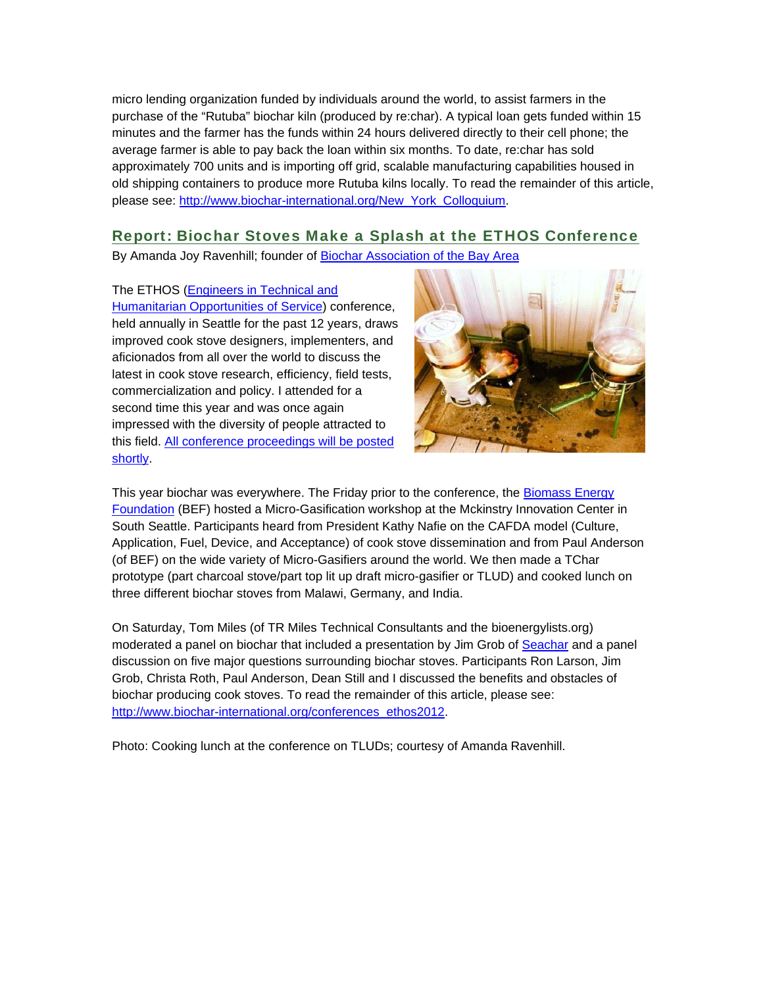micro lending organization funded by individuals around the world, to assist farmers in the purchase of the "Rutuba" biochar kiln (produced by re:char). A typical loan gets funded within 15 minutes and the farmer has the funds within 24 hours delivered directly to their cell phone; the average farmer is able to pay back the loan within six months. To date, re:char has sold approximately 700 units and is importing off grid, scalable manufacturing capabilities housed in old shipping containers to produce more Rutuba kilns locally. To read the remainder of this article, please see: http://www.biochar-international.org/New\_York\_Colloquium.

### Report: Biochar Stoves Make a Splash at the ETHOS Conference

By Amanda Joy Ravenhill; founder of Biochar Association of the Bay Area

#### The ETHOS (Engineers in Technical and

Humanitarian Opportunities of Service) conference, held annually in Seattle for the past 12 years, draws improved cook stove designers, implementers, and aficionados from all over the world to discuss the latest in cook stove research, efficiency, field tests, commercialization and policy. I attended for a second time this year and was once again impressed with the diversity of people attracted to this field. All conference proceedings will be posted shortly.



This year biochar was everywhere. The Friday prior to the conference, the Biomass Energy Foundation (BEF) hosted a Micro-Gasification workshop at the Mckinstry Innovation Center in South Seattle. Participants heard from President Kathy Nafie on the CAFDA model (Culture, Application, Fuel, Device, and Acceptance) of cook stove dissemination and from Paul Anderson (of BEF) on the wide variety of Micro-Gasifiers around the world. We then made a TChar prototype (part charcoal stove/part top lit up draft micro-gasifier or TLUD) and cooked lunch on three different biochar stoves from Malawi, Germany, and India.

On Saturday, Tom Miles (of TR Miles Technical Consultants and the bioenergylists.org) moderated a panel on biochar that included a presentation by Jim Grob of Seachar and a panel discussion on five major questions surrounding biochar stoves. Participants Ron Larson, Jim Grob, Christa Roth, Paul Anderson, Dean Still and I discussed the benefits and obstacles of biochar producing cook stoves. To read the remainder of this article, please see: http://www.biochar-international.org/conferences\_ethos2012.

Photo: Cooking lunch at the conference on TLUDs; courtesy of Amanda Ravenhill.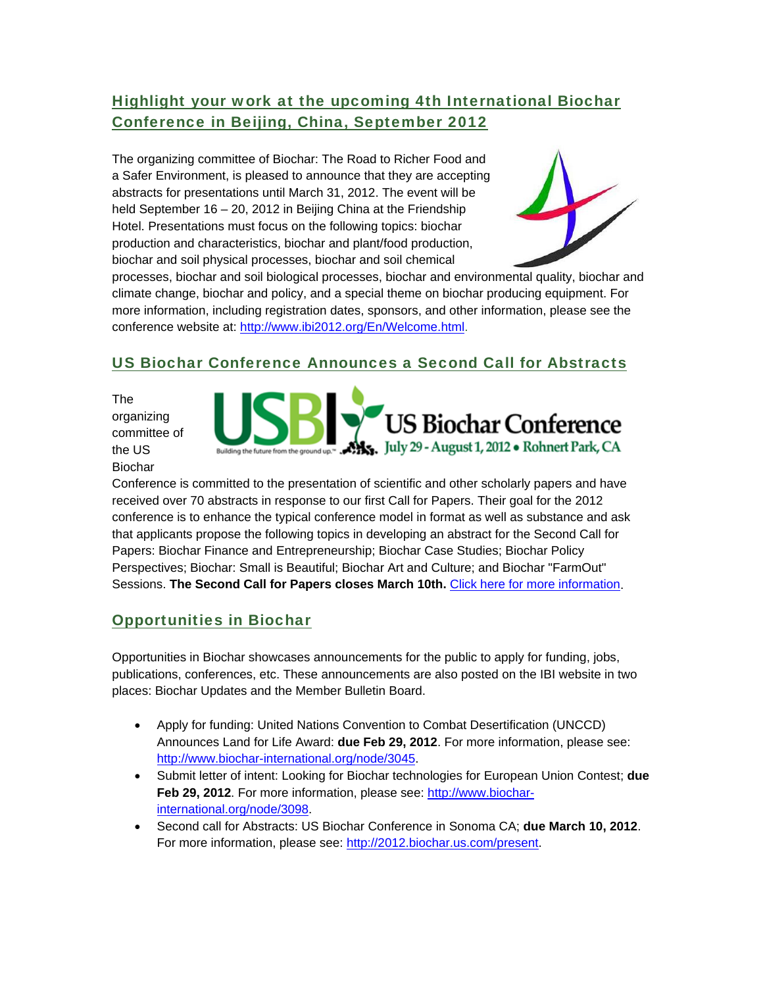## Highlight your work at the upcoming 4th International Biochar Conference in Beijing, China, September 2012

The organizing committee of Biochar: The Road to Richer Food and a Safer Environment, is pleased to announce that they are accepting abstracts for presentations until March 31, 2012. The event will be held September 16 – 20, 2012 in Beijing China at the Friendship Hotel. Presentations must focus on the following topics: biochar production and characteristics, biochar and plant/food production, biochar and soil physical processes, biochar and soil chemical



processes, biochar and soil biological processes, biochar and environmental quality, biochar and climate change, biochar and policy, and a special theme on biochar producing equipment. For more information, including registration dates, sponsors, and other information, please see the conference website at: http://www.ibi2012.org/En/Welcome.html.

## US Biochar Conference Announces a Second Call for Abstracts

The organizing committee of the US Biochar

US Biochar Conference July 29 - August 1, 2012 . Rohnert Park, CA

Conference is committed to the presentation of scientific and other scholarly papers and have received over 70 abstracts in response to our first Call for Papers. Their goal for the 2012 conference is to enhance the typical conference model in format as well as substance and ask that applicants propose the following topics in developing an abstract for the Second Call for Papers: Biochar Finance and Entrepreneurship; Biochar Case Studies; Biochar Policy Perspectives; Biochar: Small is Beautiful; Biochar Art and Culture; and Biochar "FarmOut" Sessions. **The Second Call for Papers closes March 10th.** Click here for more information.

## Opportunities in Biochar

Opportunities in Biochar showcases announcements for the public to apply for funding, jobs, publications, conferences, etc. These announcements are also posted on the IBI website in two places: Biochar Updates and the Member Bulletin Board.

- Apply for funding: United Nations Convention to Combat Desertification (UNCCD) Announces Land for Life Award: **due Feb 29, 2012**. For more information, please see: http://www.biochar-international.org/node/3045.
- Submit letter of intent: Looking for Biochar technologies for European Union Contest; **due Feb 29, 2012**. For more information, please see: http://www.biocharinternational.org/node/3098.
- Second call for Abstracts: US Biochar Conference in Sonoma CA; **due March 10, 2012**. For more information, please see: http://2012.biochar.us.com/present.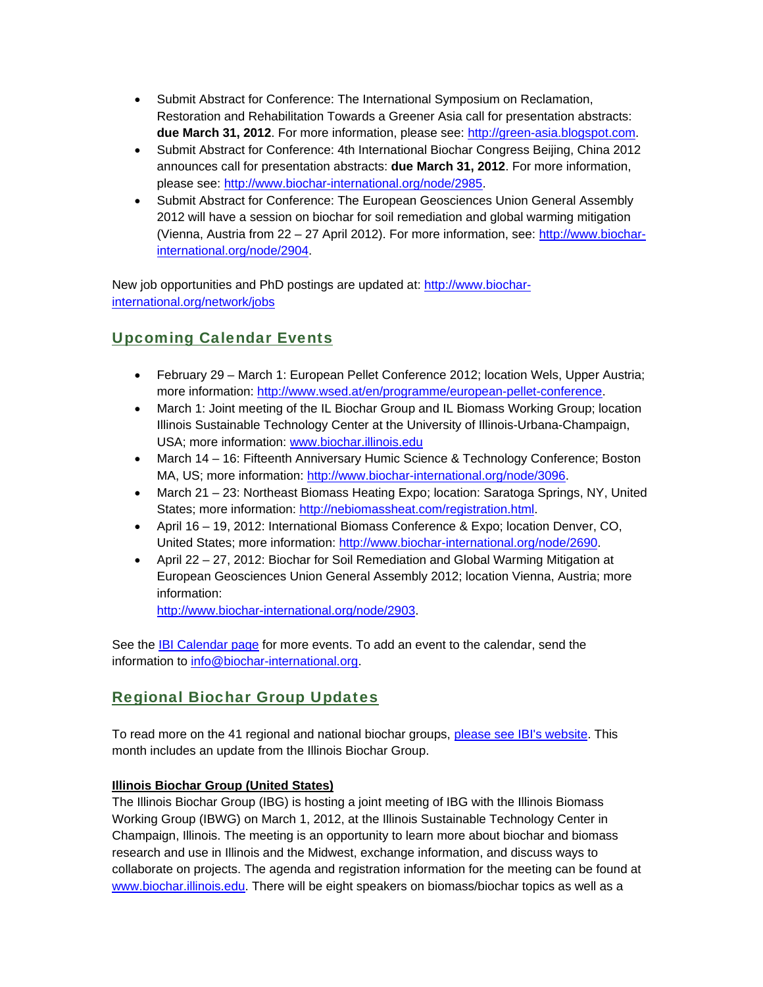- Submit Abstract for Conference: The International Symposium on Reclamation, Restoration and Rehabilitation Towards a Greener Asia call for presentation abstracts: **due March 31, 2012**. For more information, please see: http://green-asia.blogspot.com.
- Submit Abstract for Conference: 4th International Biochar Congress Beijing, China 2012 announces call for presentation abstracts: **due March 31, 2012**. For more information, please see: http://www.biochar-international.org/node/2985.
- Submit Abstract for Conference: The European Geosciences Union General Assembly 2012 will have a session on biochar for soil remediation and global warming mitigation (Vienna, Austria from 22 – 27 April 2012). For more information, see: http://www.biocharinternational.org/node/2904.

New job opportunities and PhD postings are updated at: http://www.biocharinternational.org/network/jobs

## Upcoming Calendar Events

- February 29 March 1: European Pellet Conference 2012; location Wels, Upper Austria; more information: http://www.wsed.at/en/programme/european-pellet-conference.
- March 1: Joint meeting of the IL Biochar Group and IL Biomass Working Group; location Illinois Sustainable Technology Center at the University of Illinois-Urbana-Champaign, USA; more information: www.biochar.illinois.edu
- March 14 16: Fifteenth Anniversary Humic Science & Technology Conference; Boston MA, US; more information: http://www.biochar-international.org/node/3096.
- March 21 23: Northeast Biomass Heating Expo; location: Saratoga Springs, NY, United States; more information: http://nebiomassheat.com/registration.html.
- April 16 19, 2012: International Biomass Conference & Expo; location Denver, CO, United States; more information: http://www.biochar-international.org/node/2690.
- April 22 27, 2012: Biochar for Soil Remediation and Global Warming Mitigation at European Geosciences Union General Assembly 2012; location Vienna, Austria; more information:

http://www.biochar-international.org/node/2903.

See the **IBI Calendar page for more events**. To add an event to the calendar, send the information to info@biochar-international.org.

### Regional Biochar Group Updates

To read more on the 41 regional and national biochar groups, please see IBI's website. This month includes an update from the Illinois Biochar Group.

#### **Illinois Biochar Group (United States)**

The Illinois Biochar Group (IBG) is hosting a joint meeting of IBG with the Illinois Biomass Working Group (IBWG) on March 1, 2012, at the Illinois Sustainable Technology Center in Champaign, Illinois. The meeting is an opportunity to learn more about biochar and biomass research and use in Illinois and the Midwest, exchange information, and discuss ways to collaborate on projects. The agenda and registration information for the meeting can be found at www.biochar.illinois.edu. There will be eight speakers on biomass/biochar topics as well as a